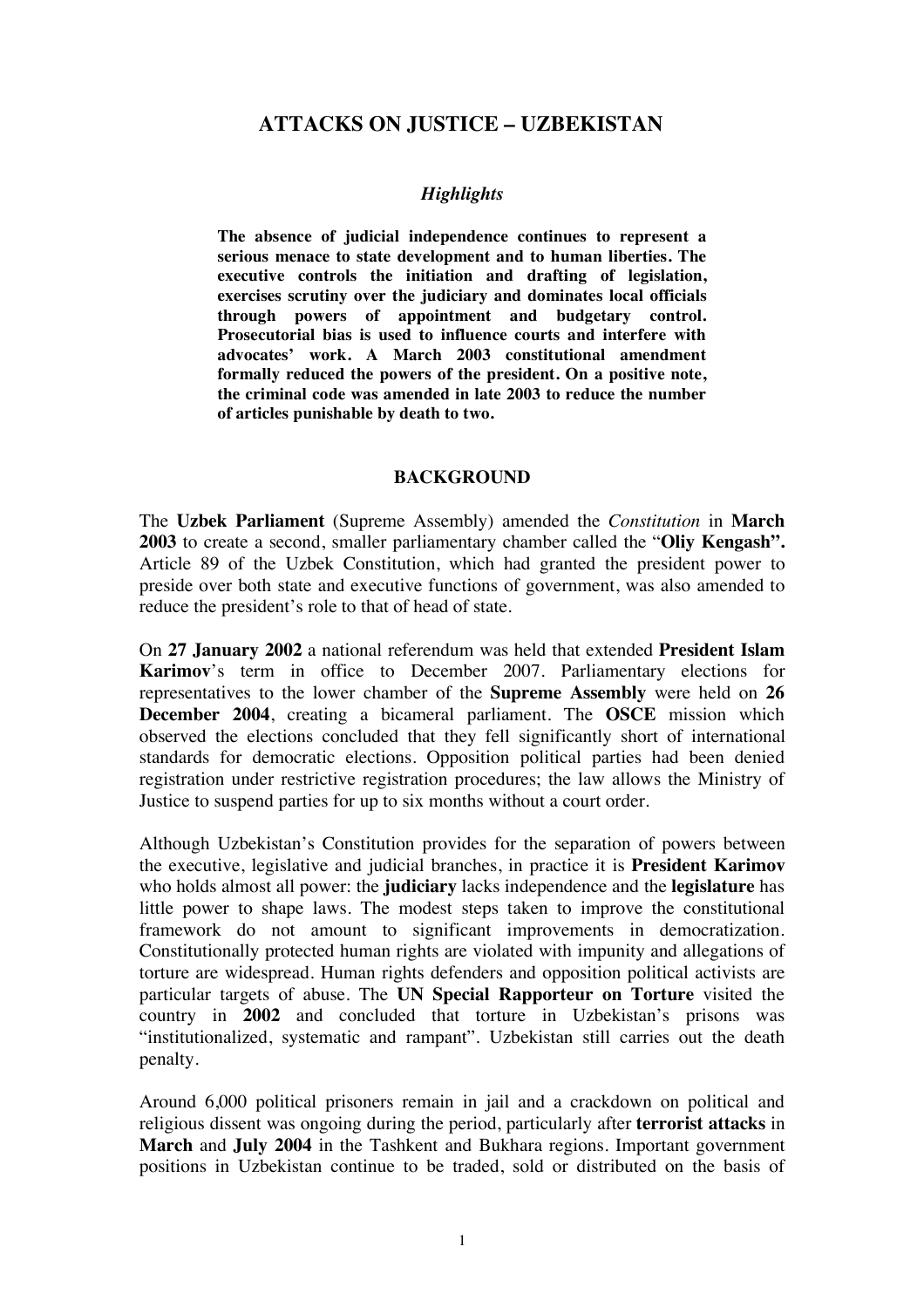# **ATTACKS ON JUSTICE – UZBEKISTAN**

## *Highlights*

**The absence of judicial independence continues to represent a serious menace to state development and to human liberties. The executive controls the initiation and drafting of legislation, exercises scrutiny over the judiciary and dominates local officials through powers of appointment and budgetary control. Prosecutorial bias is used to influence courts and interfere with advocates' work. A March 2003 constitutional amendment formally reduced the powers of the president. On a positive note, the criminal code was amended in late 2003 to reduce the number of articles punishable by death to two.** 

#### **BACKGROUND**

The **Uzbek Parliament** (Supreme Assembly) amended the *Constitution* in **March 2003** to create a second, smaller parliamentary chamber called the "**Oliy Kengash".** Article 89 of the Uzbek Constitution, which had granted the president power to preside over both state and executive functions of government, was also amended to reduce the president's role to that of head of state.

On **27 January 2002** a national referendum was held that extended **President Islam Karimov**'s term in office to December 2007. Parliamentary elections for representatives to the lower chamber of the **Supreme Assembly** were held on **26 December 2004**, creating a bicameral parliament. The **OSCE** mission which observed the elections concluded that they fell significantly short of international standards for democratic elections. Opposition political parties had been denied registration under restrictive registration procedures; the law allows the Ministry of Justice to suspend parties for up to six months without a court order.

Although Uzbekistan's Constitution provides for the separation of powers between the executive, legislative and judicial branches, in practice it is **President Karimov** who holds almost all power: the **judiciary** lacks independence and the **legislature** has little power to shape laws. The modest steps taken to improve the constitutional framework do not amount to significant improvements in democratization. Constitutionally protected human rights are violated with impunity and allegations of torture are widespread. Human rights defenders and opposition political activists are particular targets of abuse. The **UN Special Rapporteur on Torture** visited the country in **2002** and concluded that torture in Uzbekistan's prisons was "institutionalized, systematic and rampant". Uzbekistan still carries out the death penalty.

Around 6,000 political prisoners remain in jail and a crackdown on political and religious dissent was ongoing during the period, particularly after **terrorist attacks** in **March** and **July 2004** in the Tashkent and Bukhara regions. Important government positions in Uzbekistan continue to be traded, sold or distributed on the basis of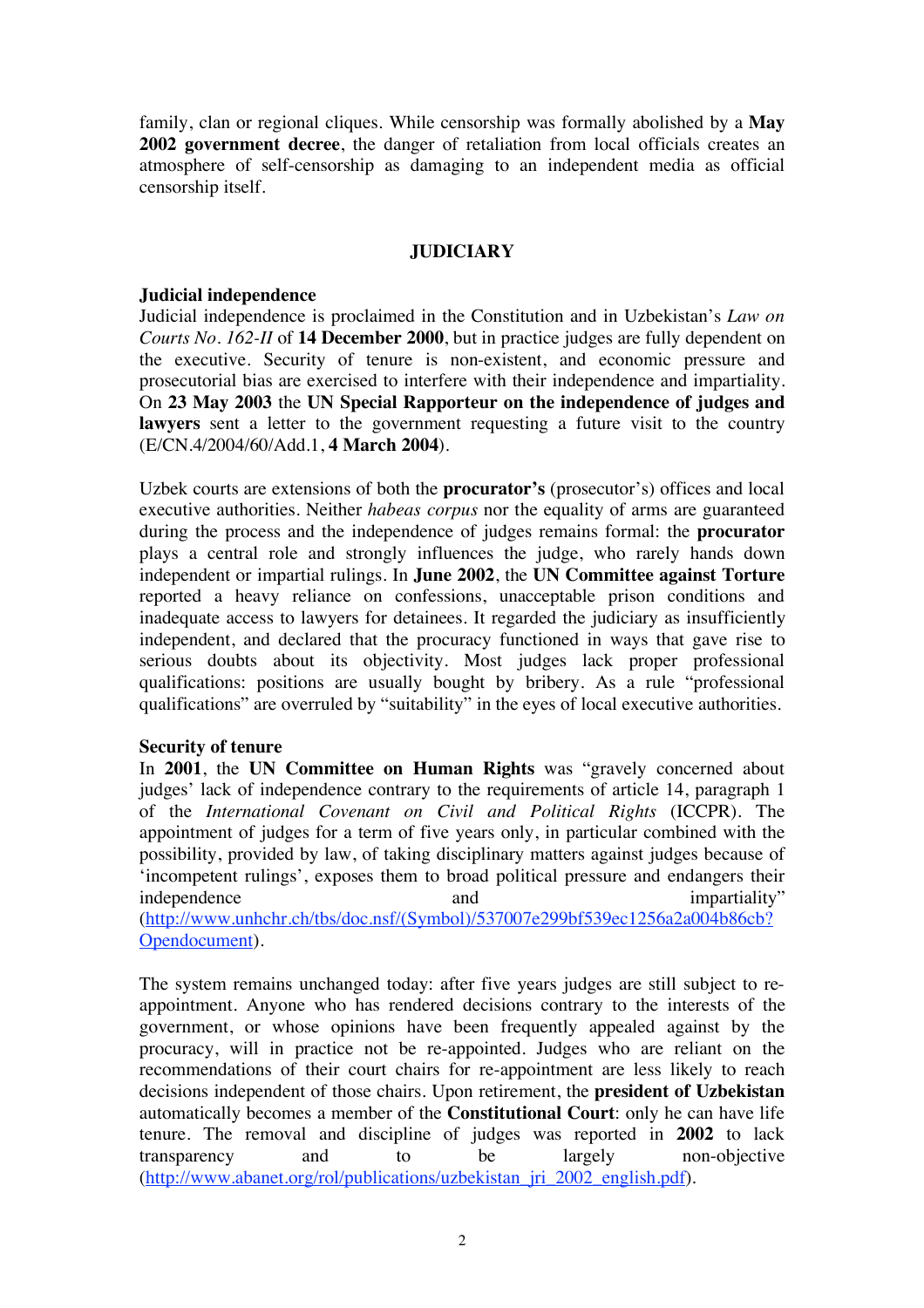family, clan or regional cliques. While censorship was formally abolished by a **May 2002 government decree**, the danger of retaliation from local officials creates an atmosphere of self-censorship as damaging to an independent media as official censorship itself.

### **JUDICIARY**

#### **Judicial independence**

Judicial independence is proclaimed in the Constitution and in Uzbekistan's *Law on Courts No. 162-II* of **14 December 2000**, but in practice judges are fully dependent on the executive. Security of tenure is non-existent, and economic pressure and prosecutorial bias are exercised to interfere with their independence and impartiality. On **23 May 2003** the **UN Special Rapporteur on the independence of judges and**  lawyers sent a letter to the government requesting a future visit to the country (E/CN.4/2004/60/Add.1, **4 March 2004**).

Uzbek courts are extensions of both the **procurator's** (prosecutor's) offices and local executive authorities. Neither *habeas corpus* nor the equality of arms are guaranteed during the process and the independence of judges remains formal: the **procurator** plays a central role and strongly influences the judge, who rarely hands down independent or impartial rulings. In **June 2002**, the **UN Committee against Torture** reported a heavy reliance on confessions, unacceptable prison conditions and inadequate access to lawyers for detainees. It regarded the judiciary as insufficiently independent, and declared that the procuracy functioned in ways that gave rise to serious doubts about its objectivity. Most judges lack proper professional qualifications: positions are usually bought by bribery. As a rule "professional qualifications" are overruled by "suitability" in the eyes of local executive authorities.

### **Security of tenure**

In **2001**, the **UN Committee on Human Rights** was "gravely concerned about judges' lack of independence contrary to the requirements of article 14, paragraph 1 of the *International Covenant on Civil and Political Rights* (ICCPR). The appointment of judges for a term of five years only, in particular combined with the possibility, provided by law, of taking disciplinary matters against judges because of 'incompetent rulings', exposes them to broad political pressure and endangers their independence and and impartiality" (http://www.unhchr.ch/tbs/doc.nsf/(Symbol)/537007e299bf539ec1256a2a004b86cb?

Opendocument).

The system remains unchanged today: after five years judges are still subject to reappointment. Anyone who has rendered decisions contrary to the interests of the government, or whose opinions have been frequently appealed against by the procuracy, will in practice not be re-appointed. Judges who are reliant on the recommendations of their court chairs for re-appointment are less likely to reach decisions independent of those chairs. Upon retirement, the **president of Uzbekistan** automatically becomes a member of the **Constitutional Court**: only he can have life tenure. The removal and discipline of judges was reported in **2002** to lack transparency and to be largely non-objective (http://www.abanet.org/rol/publications/uzbekistan\_jri\_2002\_english.pdf).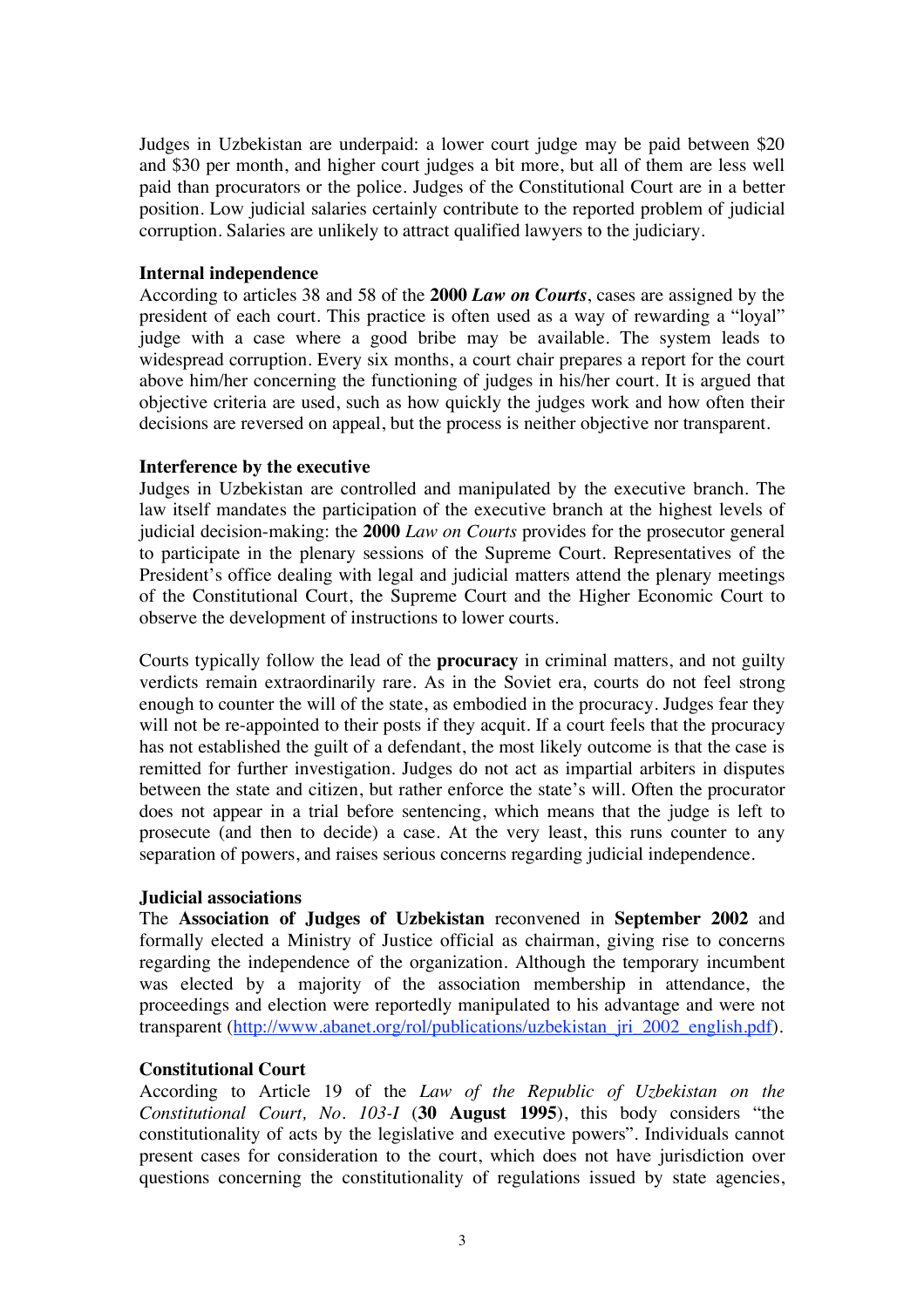Judges in Uzbekistan are underpaid: a lower court judge may be paid between \$20 and \$30 per month, and higher court judges a bit more, but all of them are less well paid than procurators or the police. Judges of the Constitutional Court are in a better position. Low judicial salaries certainly contribute to the reported problem of judicial corruption. Salaries are unlikely to attract qualified lawyers to the judiciary.

#### **Internal independence**

According to articles 38 and 58 of the **2000** *Law on Courts*, cases are assigned by the president of each court. This practice is often used as a way of rewarding a "loyal" judge with a case where a good bribe may be available. The system leads to widespread corruption. Every six months, a court chair prepares a report for the court above him/her concerning the functioning of judges in his/her court. It is argued that objective criteria are used, such as how quickly the judges work and how often their decisions are reversed on appeal, but the process is neither objective nor transparent.

### **Interference by the executive**

Judges in Uzbekistan are controlled and manipulated by the executive branch. The law itself mandates the participation of the executive branch at the highest levels of judicial decision-making: the **2000** *Law on Courts* provides for the prosecutor general to participate in the plenary sessions of the Supreme Court. Representatives of the President's office dealing with legal and judicial matters attend the plenary meetings of the Constitutional Court, the Supreme Court and the Higher Economic Court to observe the development of instructions to lower courts.

Courts typically follow the lead of the **procuracy** in criminal matters, and not guilty verdicts remain extraordinarily rare. As in the Soviet era, courts do not feel strong enough to counter the will of the state, as embodied in the procuracy. Judges fear they will not be re-appointed to their posts if they acquit. If a court feels that the procuracy has not established the guilt of a defendant, the most likely outcome is that the case is remitted for further investigation. Judges do not act as impartial arbiters in disputes between the state and citizen, but rather enforce the state's will. Often the procurator does not appear in a trial before sentencing, which means that the judge is left to prosecute (and then to decide) a case. At the very least, this runs counter to any separation of powers, and raises serious concerns regarding judicial independence.

### **Judicial associations**

The **Association of Judges of Uzbekistan** reconvened in **September 2002** and formally elected a Ministry of Justice official as chairman, giving rise to concerns regarding the independence of the organization. Although the temporary incumbent was elected by a majority of the association membership in attendance, the proceedings and election were reportedly manipulated to his advantage and were not transparent (http://www.abanet.org/rol/publications/uzbekistan\_jri\_2002\_english.pdf).

### **Constitutional Court**

According to Article 19 of the *Law of the Republic of Uzbekistan on the Constitutional Court, No. 103-I* (**30 August 1995**), this body considers "the constitutionality of acts by the legislative and executive powers". Individuals cannot present cases for consideration to the court, which does not have jurisdiction over questions concerning the constitutionality of regulations issued by state agencies,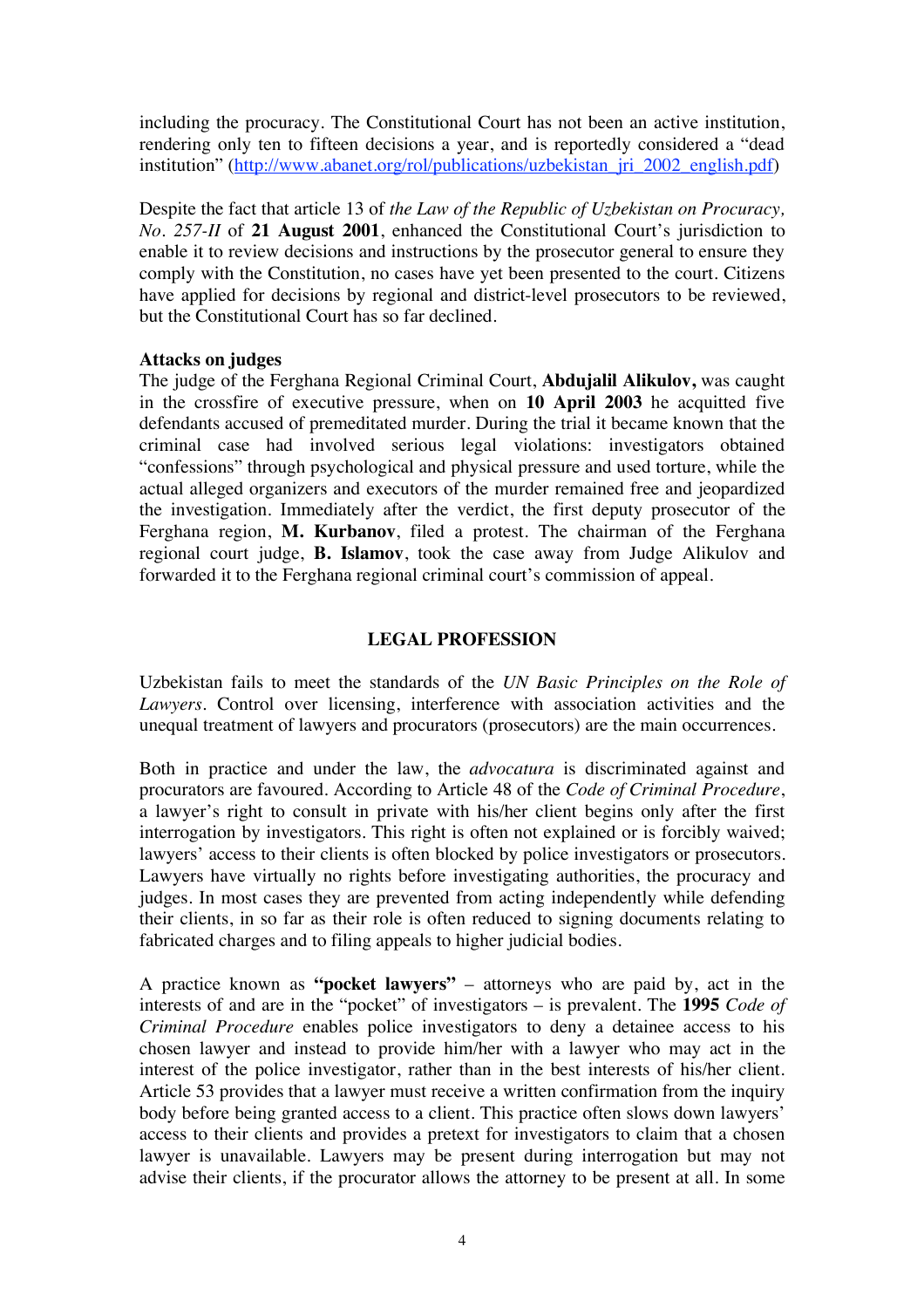including the procuracy. The Constitutional Court has not been an active institution, rendering only ten to fifteen decisions a year, and is reportedly considered a "dead institution" (http://www.abanet.org/rol/publications/uzbekistan\_jri\_2002\_english.pdf)

Despite the fact that article 13 of *the Law of the Republic of Uzbekistan on Procuracy, No. 257-II* of **21 August 2001**, enhanced the Constitutional Court's jurisdiction to enable it to review decisions and instructions by the prosecutor general to ensure they comply with the Constitution, no cases have yet been presented to the court. Citizens have applied for decisions by regional and district-level prosecutors to be reviewed, but the Constitutional Court has so far declined.

### **Attacks on judges**

The judge of the Ferghana Regional Criminal Court, **Abdujalil Alikulov,** was caught in the crossfire of executive pressure, when on **10 April 2003** he acquitted five defendants accused of premeditated murder. During the trial it became known that the criminal case had involved serious legal violations: investigators obtained "confessions" through psychological and physical pressure and used torture, while the actual alleged organizers and executors of the murder remained free and jeopardized the investigation. Immediately after the verdict, the first deputy prosecutor of the Ferghana region, **M. Kurbanov**, filed a protest. The chairman of the Ferghana regional court judge, **B. Islamov**, took the case away from Judge Alikulov and forwarded it to the Ferghana regional criminal court's commission of appeal.

#### **LEGAL PROFESSION**

Uzbekistan fails to meet the standards of the *UN Basic Principles on the Role of Lawyers*. Control over licensing, interference with association activities and the unequal treatment of lawyers and procurators (prosecutors) are the main occurrences.

Both in practice and under the law, the *advocatura* is discriminated against and procurators are favoured. According to Article 48 of the *Code of Criminal Procedure*, a lawyer's right to consult in private with his/her client begins only after the first interrogation by investigators. This right is often not explained or is forcibly waived; lawyers' access to their clients is often blocked by police investigators or prosecutors. Lawyers have virtually no rights before investigating authorities, the procuracy and judges. In most cases they are prevented from acting independently while defending their clients, in so far as their role is often reduced to signing documents relating to fabricated charges and to filing appeals to higher judicial bodies.

A practice known as **"pocket lawyers"** – attorneys who are paid by, act in the interests of and are in the "pocket" of investigators – is prevalent. The **1995** *Code of Criminal Procedure* enables police investigators to deny a detainee access to his chosen lawyer and instead to provide him/her with a lawyer who may act in the interest of the police investigator, rather than in the best interests of his/her client. Article 53 provides that a lawyer must receive a written confirmation from the inquiry body before being granted access to a client. This practice often slows down lawyers' access to their clients and provides a pretext for investigators to claim that a chosen lawyer is unavailable. Lawyers may be present during interrogation but may not advise their clients, if the procurator allows the attorney to be present at all. In some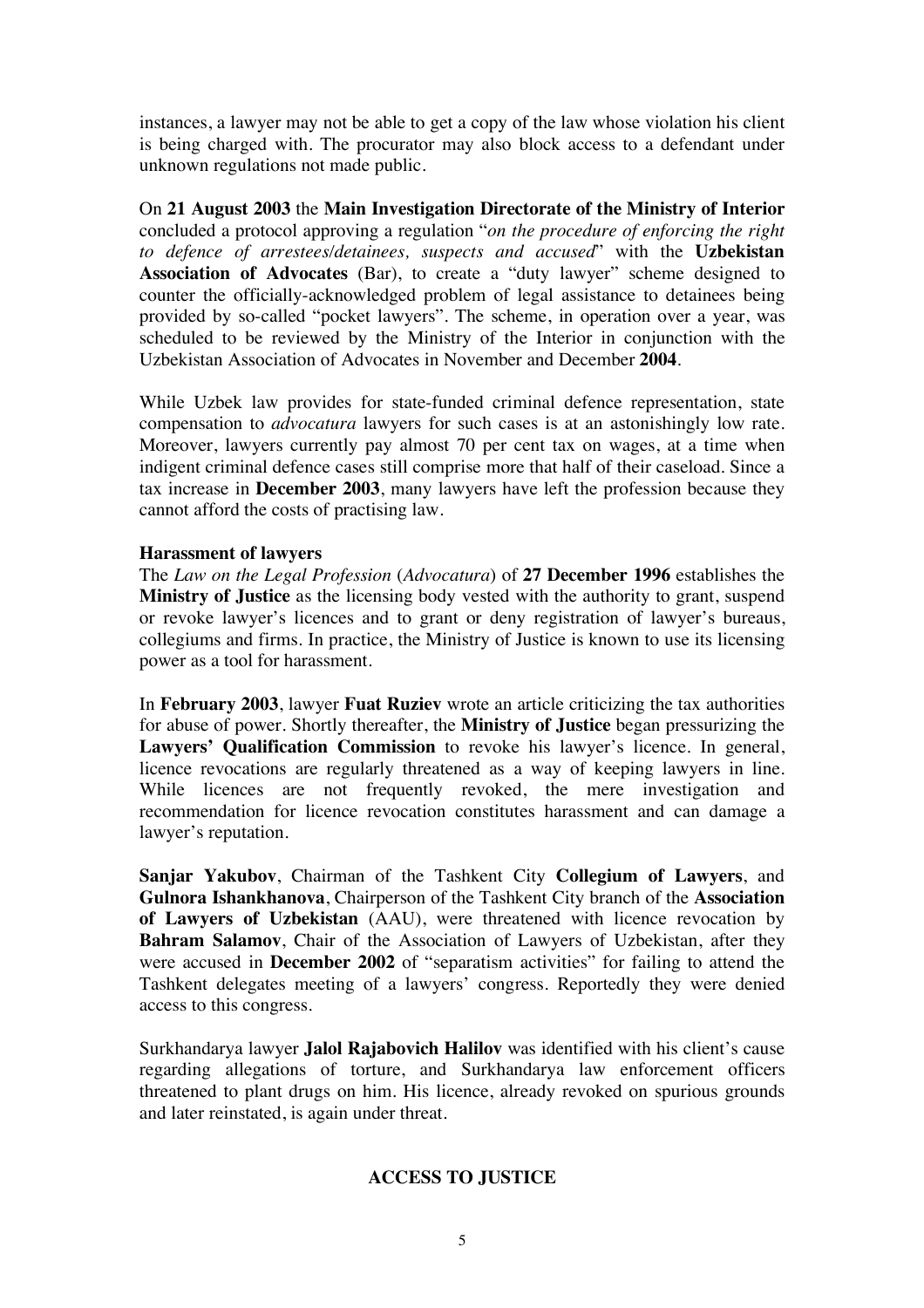instances, a lawyer may not be able to get a copy of the law whose violation his client is being charged with. The procurator may also block access to a defendant under unknown regulations not made public.

On **21 August 2003** the **Main Investigation Directorate of the Ministry of Interior** concluded a protocol approving a regulation "*on the procedure of enforcing the right to defence of arrestees/detainees, suspects and accused*" with the **Uzbekistan Association of Advocates** (Bar), to create a "duty lawyer" scheme designed to counter the officially-acknowledged problem of legal assistance to detainees being provided by so-called "pocket lawyers". The scheme, in operation over a year, was scheduled to be reviewed by the Ministry of the Interior in conjunction with the Uzbekistan Association of Advocates in November and December **2004**.

While Uzbek law provides for state-funded criminal defence representation, state compensation to *advocatura* lawyers for such cases is at an astonishingly low rate. Moreover, lawyers currently pay almost 70 per cent tax on wages, at a time when indigent criminal defence cases still comprise more that half of their caseload. Since a tax increase in **December 2003**, many lawyers have left the profession because they cannot afford the costs of practising law.

### **Harassment of lawyers**

The *Law on the Legal Profession* (*Advocatura*) of **27 December 1996** establishes the **Ministry of Justice** as the licensing body vested with the authority to grant, suspend or revoke lawyer's licences and to grant or deny registration of lawyer's bureaus, collegiums and firms. In practice, the Ministry of Justice is known to use its licensing power as a tool for harassment.

In **February 2003**, lawyer **Fuat Ruziev** wrote an article criticizing the tax authorities for abuse of power. Shortly thereafter, the **Ministry of Justice** began pressurizing the **Lawyers' Qualification Commission** to revoke his lawyer's licence. In general, licence revocations are regularly threatened as a way of keeping lawyers in line. While licences are not frequently revoked, the mere investigation and recommendation for licence revocation constitutes harassment and can damage a lawyer's reputation.

**Sanjar Yakubov**, Chairman of the Tashkent City **Collegium of Lawyers**, and **Gulnora Ishankhanova**, Chairperson of the Tashkent City branch of the **Association of Lawyers of Uzbekistan** (AAU), were threatened with licence revocation by **Bahram Salamov**, Chair of the Association of Lawyers of Uzbekistan, after they were accused in **December 2002** of "separatism activities" for failing to attend the Tashkent delegates meeting of a lawyers' congress. Reportedly they were denied access to this congress.

Surkhandarya lawyer **Jalol Rajabovich Halilov** was identified with his client's cause regarding allegations of torture, and Surkhandarya law enforcement officers threatened to plant drugs on him. His licence, already revoked on spurious grounds and later reinstated, is again under threat.

## **ACCESS TO JUSTICE**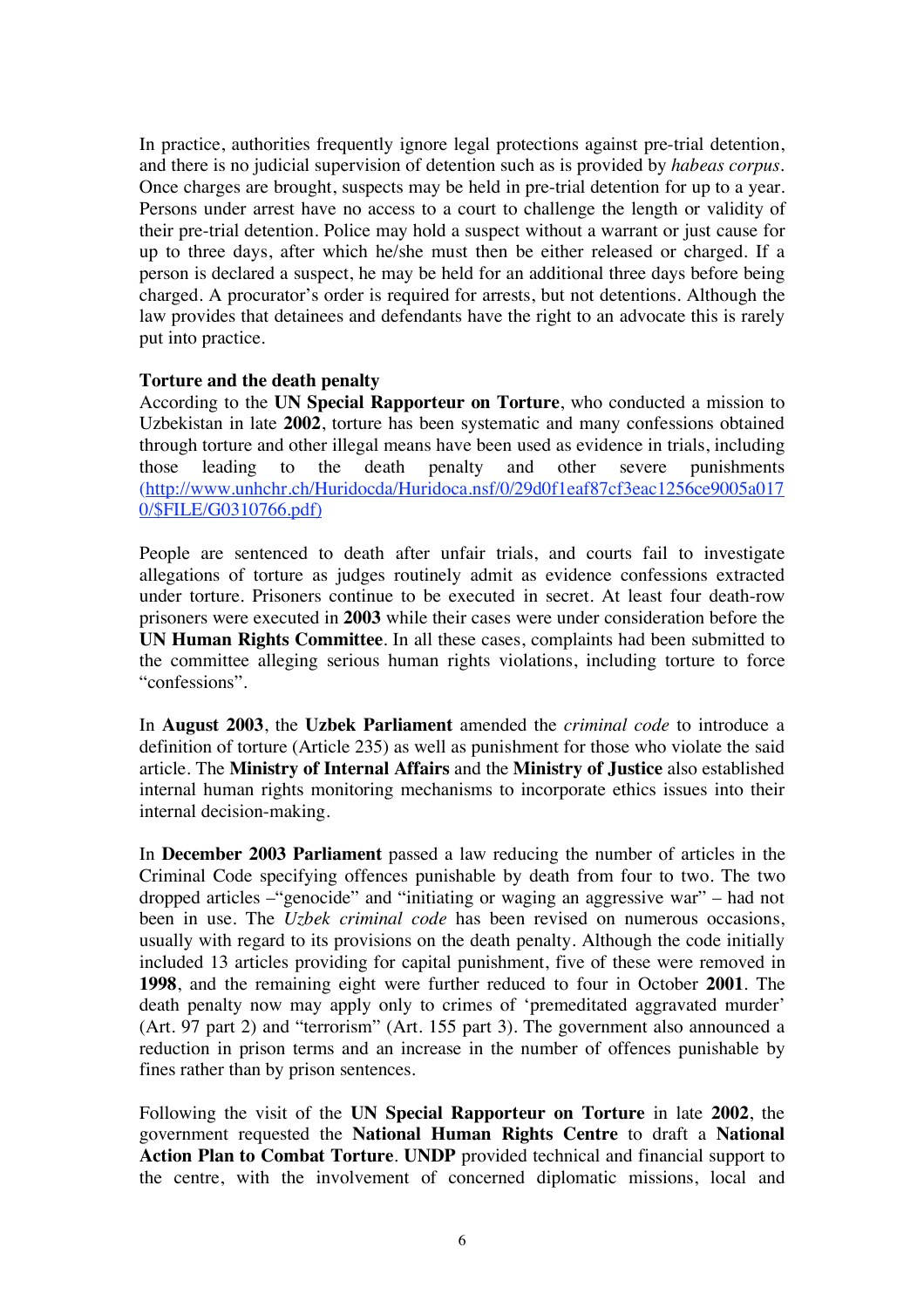In practice, authorities frequently ignore legal protections against pre-trial detention, and there is no judicial supervision of detention such as is provided by *habeas corpus*. Once charges are brought, suspects may be held in pre-trial detention for up to a year. Persons under arrest have no access to a court to challenge the length or validity of their pre-trial detention. Police may hold a suspect without a warrant or just cause for up to three days, after which he/she must then be either released or charged. If a person is declared a suspect, he may be held for an additional three days before being charged. A procurator's order is required for arrests, but not detentions. Although the law provides that detainees and defendants have the right to an advocate this is rarely put into practice.

### **Torture and the death penalty**

According to the **UN Special Rapporteur on Torture**, who conducted a mission to Uzbekistan in late **2002**, torture has been systematic and many confessions obtained through torture and other illegal means have been used as evidence in trials, including those leading to the death penalty and other severe punishments (http://www.unhchr.ch/Huridocda/Huridoca.nsf/0/29d0f1eaf87cf3eac1256ce9005a017 0/\$FILE/G0310766.pdf)

People are sentenced to death after unfair trials, and courts fail to investigate allegations of torture as judges routinely admit as evidence confessions extracted under torture. Prisoners continue to be executed in secret. At least four death-row prisoners were executed in **2003** while their cases were under consideration before the **UN Human Rights Committee**. In all these cases, complaints had been submitted to the committee alleging serious human rights violations, including torture to force "confessions".

In **August 2003**, the **Uzbek Parliament** amended the *criminal code* to introduce a definition of torture (Article 235) as well as punishment for those who violate the said article. The **Ministry of Internal Affairs** and the **Ministry of Justice** also established internal human rights monitoring mechanisms to incorporate ethics issues into their internal decision-making.

In **December 2003 Parliament** passed a law reducing the number of articles in the Criminal Code specifying offences punishable by death from four to two. The two dropped articles –"genocide" and "initiating or waging an aggressive war" – had not been in use. The *Uzbek criminal code* has been revised on numerous occasions, usually with regard to its provisions on the death penalty. Although the code initially included 13 articles providing for capital punishment, five of these were removed in **1998**, and the remaining eight were further reduced to four in October **2001**. The death penalty now may apply only to crimes of 'premeditated aggravated murder' (Art. 97 part 2) and "terrorism" (Art. 155 part 3). The government also announced a reduction in prison terms and an increase in the number of offences punishable by fines rather than by prison sentences.

Following the visit of the **UN Special Rapporteur on Torture** in late **2002**, the government requested the **National Human Rights Centre** to draft a **National Action Plan to Combat Torture**. **UNDP** provided technical and financial support to the centre, with the involvement of concerned diplomatic missions, local and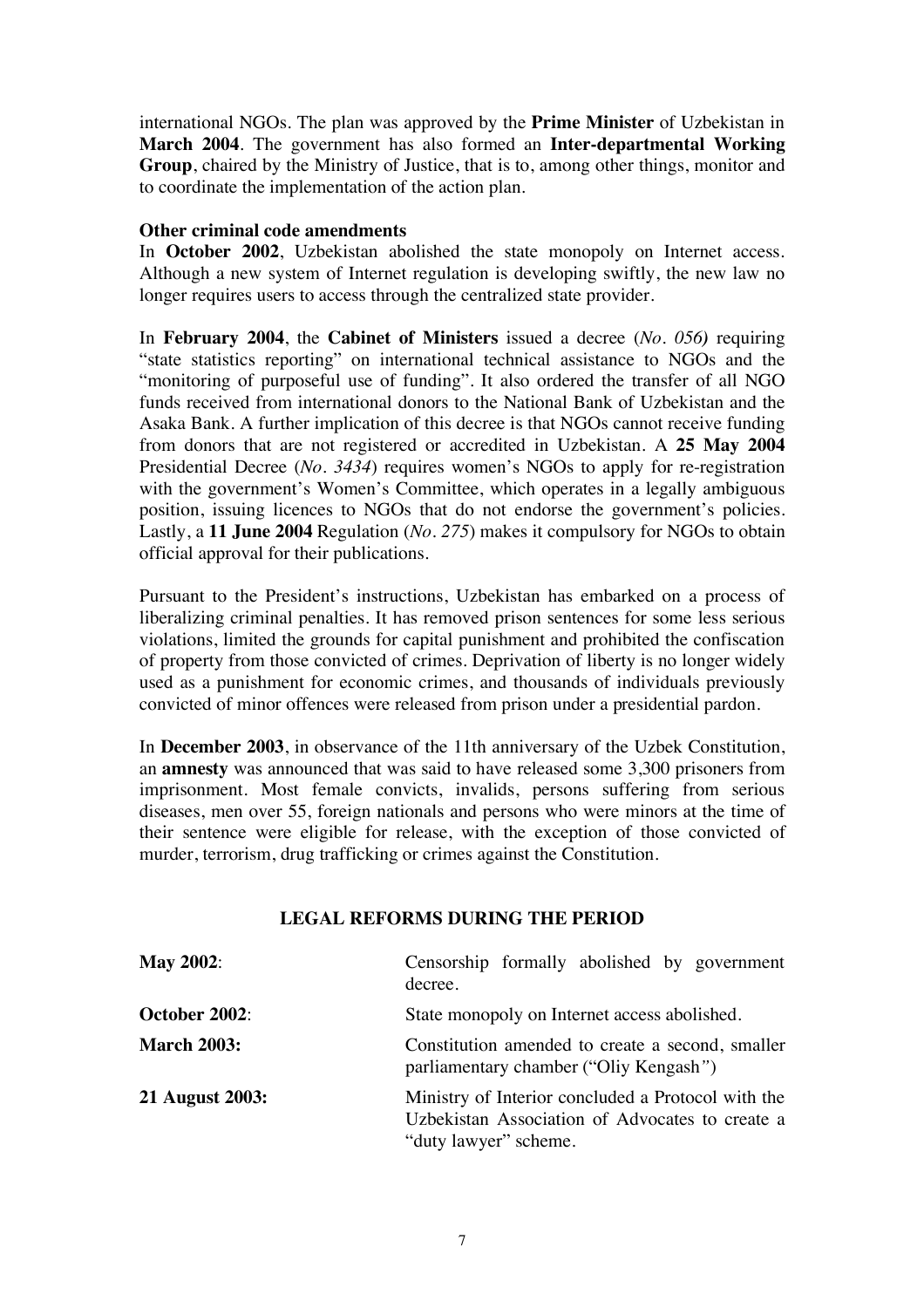international NGOs. The plan was approved by the **Prime Minister** of Uzbekistan in **March 2004**. The government has also formed an **Inter-departmental Working Group**, chaired by the Ministry of Justice, that is to, among other things, monitor and to coordinate the implementation of the action plan.

### **Other criminal code amendments**

In **October 2002**, Uzbekistan abolished the state monopoly on Internet access. Although a new system of Internet regulation is developing swiftly, the new law no longer requires users to access through the centralized state provider.

In **February 2004**, the **Cabinet of Ministers** issued a decree (*No. 056)* requiring "state statistics reporting" on international technical assistance to NGOs and the "monitoring of purposeful use of funding". It also ordered the transfer of all NGO funds received from international donors to the National Bank of Uzbekistan and the Asaka Bank. A further implication of this decree is that NGOs cannot receive funding from donors that are not registered or accredited in Uzbekistan. A **25 May 2004** Presidential Decree (*No. 3434*) requires women's NGOs to apply for re-registration with the government's Women's Committee, which operates in a legally ambiguous position, issuing licences to NGOs that do not endorse the government's policies. Lastly, a **11 June 2004** Regulation (*No. 275*) makes it compulsory for NGOs to obtain official approval for their publications.

Pursuant to the President's instructions, Uzbekistan has embarked on a process of liberalizing criminal penalties. It has removed prison sentences for some less serious violations, limited the grounds for capital punishment and prohibited the confiscation of property from those convicted of crimes. Deprivation of liberty is no longer widely used as a punishment for economic crimes, and thousands of individuals previously convicted of minor offences were released from prison under a presidential pardon.

In **December 2003**, in observance of the 11th anniversary of the Uzbek Constitution, an **amnesty** was announced that was said to have released some 3,300 prisoners from imprisonment. Most female convicts, invalids, persons suffering from serious diseases, men over 55, foreign nationals and persons who were minors at the time of their sentence were eligible for release, with the exception of those convicted of murder, terrorism, drug trafficking or crimes against the Constitution.

## **LEGAL REFORMS DURING THE PERIOD**

| <b>May 2002:</b>   | Censorship formally abolished by government<br>decree.                                                                         |
|--------------------|--------------------------------------------------------------------------------------------------------------------------------|
| October 2002:      | State monopoly on Internet access abolished.                                                                                   |
| <b>March 2003:</b> | Constitution amended to create a second, smaller<br>parliamentary chamber ("Oliy Kengash")                                     |
| 21 August 2003:    | Ministry of Interior concluded a Protocol with the<br>Uzbekistan Association of Advocates to create a<br>"duty lawyer" scheme. |